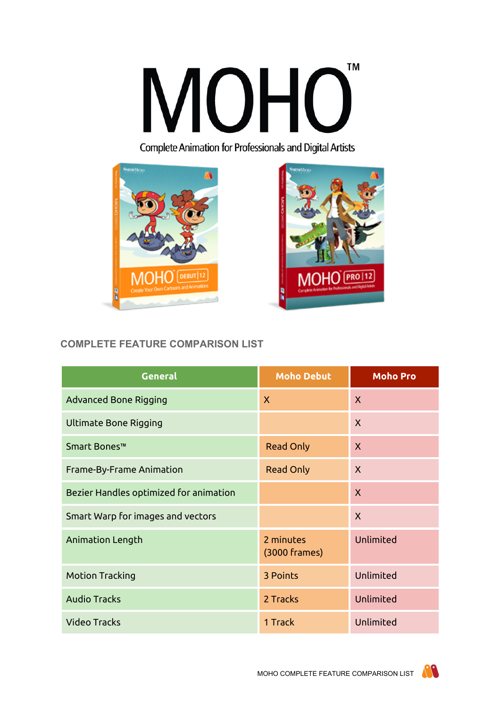# **TM** MOHO

Complete Animation for Professionals and Digital Artists





# **COMPLETE FEATURE COMPARISON LIST**

| <b>General</b>                         | <b>Moho Debut</b>          | <b>Moho Pro</b> |
|----------------------------------------|----------------------------|-----------------|
| <b>Advanced Bone Rigging</b>           | $\mathsf{x}$               | $\mathsf{X}$    |
| <b>Ultimate Bone Rigging</b>           |                            | $\mathsf{X}$    |
| Smart Bones™                           | <b>Read Only</b>           | $\mathsf{X}$    |
| Frame-By-Frame Animation               | <b>Read Only</b>           | $\mathsf{x}$    |
| Bezier Handles optimized for animation |                            | $\mathsf{X}$    |
| Smart Warp for images and vectors      |                            | $\mathsf{X}$    |
| Animation Length                       | 2 minutes<br>(3000 frames) | Unlimited       |
| <b>Motion Tracking</b>                 | 3 Points                   | Unlimited       |
| <b>Audio Tracks</b>                    | 2 Tracks                   | Unlimited       |
| <b>Video Tracks</b>                    | 1 Track                    | Unlimited       |

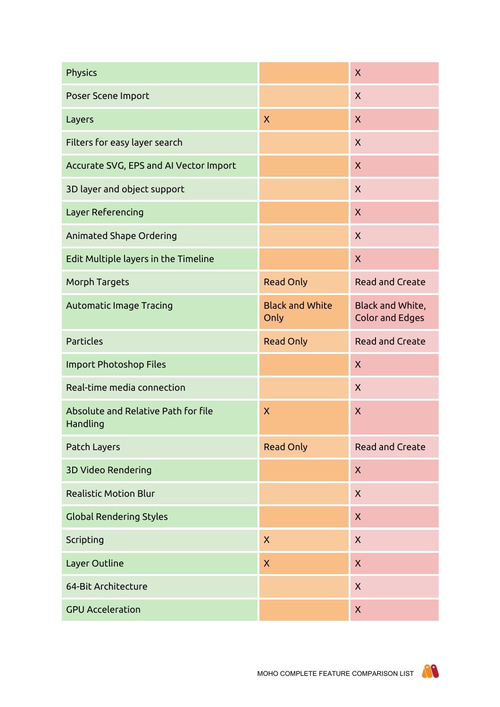| <b>Physics</b>                                  |                                | $\mathsf{X}$                               |
|-------------------------------------------------|--------------------------------|--------------------------------------------|
| Poser Scene Import                              |                                | $\mathsf{X}$                               |
| Layers                                          | $\overline{\mathsf{X}}$        | $\mathsf{X}$                               |
| Filters for easy layer search                   |                                | $\mathsf{X}$                               |
| Accurate SVG, EPS and AI Vector Import          |                                | $\mathsf{X}$                               |
| 3D layer and object support                     |                                | $\mathsf{X}$                               |
| Layer Referencing                               |                                | $\mathsf{X}$                               |
| <b>Animated Shape Ordering</b>                  |                                | $\mathsf{X}$                               |
| Edit Multiple layers in the Timeline            |                                | $\mathsf{X}$                               |
| Morph Targets                                   | <b>Read Only</b>               | <b>Read and Create</b>                     |
| <b>Automatic Image Tracing</b>                  | <b>Black and White</b><br>Only | Black and White,<br><b>Color and Edges</b> |
| Particles                                       | <b>Read Only</b>               | <b>Read and Create</b>                     |
| <b>Import Photoshop Files</b>                   |                                | $\mathsf{X}$                               |
| Real-time media connection                      |                                | $\mathsf{X}$                               |
| Absolute and Relative Path for file<br>Handling | $\overline{\mathsf{X}}$        | $\mathsf{X}$                               |
| Patch Layers                                    | <b>Read Only</b>               | <b>Read and Create</b>                     |
| 3D Video Rendering                              |                                | $\mathsf{X}$                               |
| <b>Realistic Motion Blur</b>                    |                                | $\mathsf{X}$                               |
| <b>Global Rendering Styles</b>                  |                                | $\mathsf{X}$                               |
| Scripting                                       | $\mathsf{X}$                   | $\mathsf{X}$                               |
| Layer Outline                                   | X                              | $\mathsf{X}$                               |
| 64-Bit Architecture                             |                                | $\mathsf{X}$                               |
| <b>GPU Acceleration</b>                         |                                | X                                          |

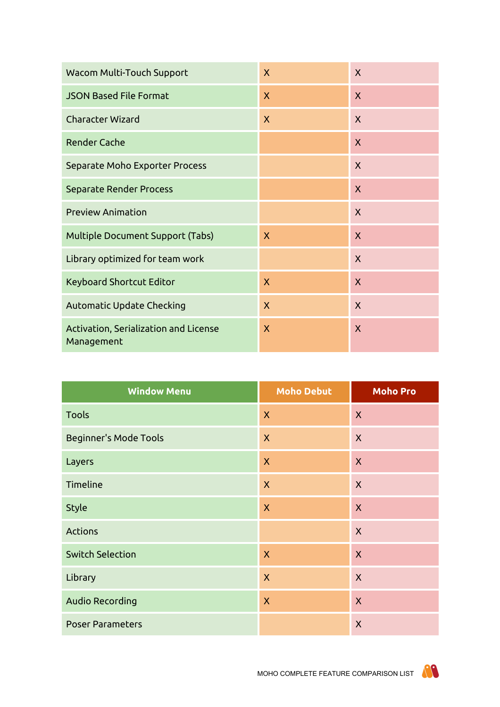| <b>Wacom Multi-Touch Support</b>                    | $\mathsf{X}$              | $\sf X$          |
|-----------------------------------------------------|---------------------------|------------------|
| <b>JSON Based File Format</b>                       | $\mathsf{X}$              | $\mathsf{X}$     |
| <b>Character Wizard</b>                             | $\boldsymbol{\mathsf{X}}$ | X                |
| <b>Render Cache</b>                                 |                           | $\boldsymbol{X}$ |
| Separate Moho Exporter Process                      |                           | $\boldsymbol{X}$ |
| <b>Separate Render Process</b>                      |                           | $\mathsf{X}$     |
| <b>Preview Animation</b>                            |                           | $\boldsymbol{X}$ |
| <b>Multiple Document Support (Tabs)</b>             | $\mathsf{X}$              | $\mathsf{X}$     |
| Library optimized for team work                     |                           | $\mathsf{X}$     |
| <b>Keyboard Shortcut Editor</b>                     | $\mathsf{X}$              | $\mathsf{X}$     |
| Automatic Update Checking                           | $\mathsf{X}$              | $\mathsf{X}$     |
| Activation, Serialization and License<br>Management | $\mathsf{X}$              | $\mathsf{X}$     |

| <b>Window Menu</b>           | <b>Moho Debut</b>         | <b>Moho Pro</b>  |
|------------------------------|---------------------------|------------------|
| <b>Tools</b>                 | $\boldsymbol{\mathsf{X}}$ | $\mathsf{X}$     |
| <b>Beginner's Mode Tools</b> | $\mathsf{X}$              | $\mathsf{X}$     |
| Layers                       | $\boldsymbol{\mathsf{X}}$ | $\boldsymbol{X}$ |
| Timeline                     | $\boldsymbol{\mathsf{X}}$ | $\mathsf{X}$     |
| Style                        | $\boldsymbol{\mathsf{X}}$ | $\boldsymbol{X}$ |
| <b>Actions</b>               |                           | $\mathsf{X}$     |
| <b>Switch Selection</b>      | $\mathsf{X}$              | $\overline{X}$   |
| Library                      | $\mathsf{X}$              | $\mathsf{X}$     |
| <b>Audio Recording</b>       | $\mathsf{X}$              | $\mathsf{X}$     |
| <b>Poser Parameters</b>      |                           | X                |

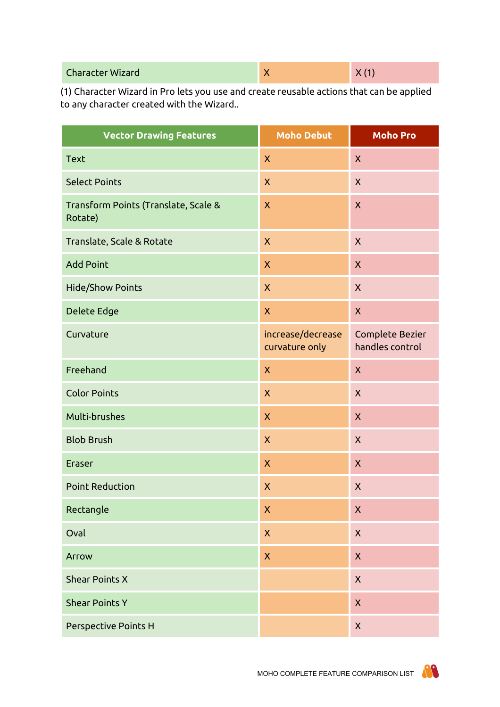| <b>Character Wizard</b> | $\mathbf{v}$ | X(1) |
|-------------------------|--------------|------|
|-------------------------|--------------|------|

(1) Character Wizard in Pro lets you use and create reusable actions that can be applied to any character created with the Wizard..

| <b>Vector Drawing Features</b>                  | <b>Moho Debut</b>                   | <b>Moho Pro</b>                    |
|-------------------------------------------------|-------------------------------------|------------------------------------|
| <b>Text</b>                                     | X                                   | $\mathsf{X}$                       |
| <b>Select Points</b>                            | $\mathsf{X}$                        | X                                  |
| Transform Points (Translate, Scale &<br>Rotate) | $\mathsf{X}$                        | $\mathsf{X}$                       |
| Translate, Scale & Rotate                       | $\mathsf{X}$                        | X                                  |
| <b>Add Point</b>                                | X                                   | $\mathsf{X}$                       |
| <b>Hide/Show Points</b>                         | $\mathsf{X}$                        | $\mathsf{X}$                       |
| Delete Edge                                     | $\mathsf{X}$                        | $\mathsf{X}$                       |
| Curvature                                       | increase/decrease<br>curvature only | Complete Bezier<br>handles control |
| Freehand                                        | $\mathsf{X}$                        | $\mathsf{X}$                       |
| <b>Color Points</b>                             | $\mathsf{X}$                        | X                                  |
| Multi-brushes                                   | $\mathsf{X}$                        | $\mathsf{X}$                       |
| <b>Blob Brush</b>                               | $\mathsf{X}$                        | $\mathsf{X}$                       |
| Eraser                                          | $\mathsf{X}$                        | $\mathsf{X}$                       |
| <b>Point Reduction</b>                          | X                                   | X                                  |
| Rectangle                                       | $\mathsf{X}$                        | $\boldsymbol{\mathsf{X}}$          |
| Oval                                            | $\mathsf{X}$                        | $\mathsf{X}$                       |
| Arrow                                           | $\mathsf{X}$                        | $\mathsf{X}$                       |
| <b>Shear Points X</b>                           |                                     | X                                  |
| <b>Shear Points Y</b>                           |                                     | $\mathsf{X}$                       |
| Perspective Points H                            |                                     | $\mathsf{X}$                       |

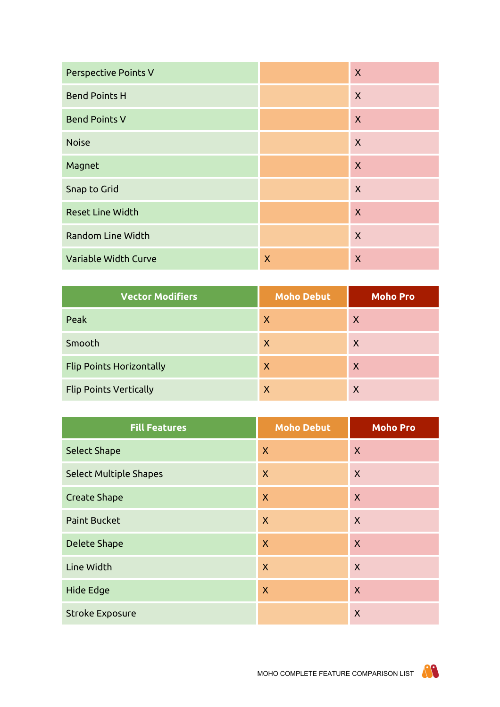| Perspective Points V    |                           | X                       |
|-------------------------|---------------------------|-------------------------|
| <b>Bend Points H</b>    |                           | $\mathsf{X}$            |
| <b>Bend Points V</b>    |                           | $\boldsymbol{X}$        |
| <b>Noise</b>            |                           | $\mathsf{X}$            |
| Magnet                  |                           | $\overline{X}$          |
| Snap to Grid            |                           | $\mathsf{X}$            |
| <b>Reset Line Width</b> |                           | $\overline{\mathsf{X}}$ |
| Random Line Width       |                           | $\boldsymbol{X}$        |
| Variable Width Curve    | $\boldsymbol{\mathsf{X}}$ | X                       |

| <b>Vector Modifiers</b>         | <b>Moho Debut</b>         | <b>Moho Pro</b>           |
|---------------------------------|---------------------------|---------------------------|
| Peak                            | $\boldsymbol{\mathsf{X}}$ | $\boldsymbol{\mathsf{X}}$ |
| Smooth                          | X                         | $\mathsf{X}$              |
| <b>Flip Points Horizontally</b> | X                         | $\boldsymbol{\mathsf{X}}$ |
| <b>Flip Points Vertically</b>   | X                         | $\times$                  |

| <b>Fill Features</b>          | <b>Moho Debut</b>         | <b>Moho Pro</b>         |
|-------------------------------|---------------------------|-------------------------|
| <b>Select Shape</b>           | $\mathsf{X}$              | $\sf X$                 |
| <b>Select Multiple Shapes</b> | $\mathsf{X}$              | $\sf X$                 |
| <b>Create Shape</b>           | $\mathsf{X}$              | $\mathsf{X}$            |
| <b>Paint Bucket</b>           | $\mathsf{X}$              | $\sf X$                 |
| <b>Delete Shape</b>           | $\boldsymbol{\mathsf{X}}$ | X                       |
| Line Width                    | $\mathsf{X}$              | $\overline{\mathsf{X}}$ |
| <b>Hide Edge</b>              | $\mathsf{X}$              | $\overline{\mathsf{X}}$ |
| <b>Stroke Exposure</b>        |                           | $\overline{\mathsf{X}}$ |

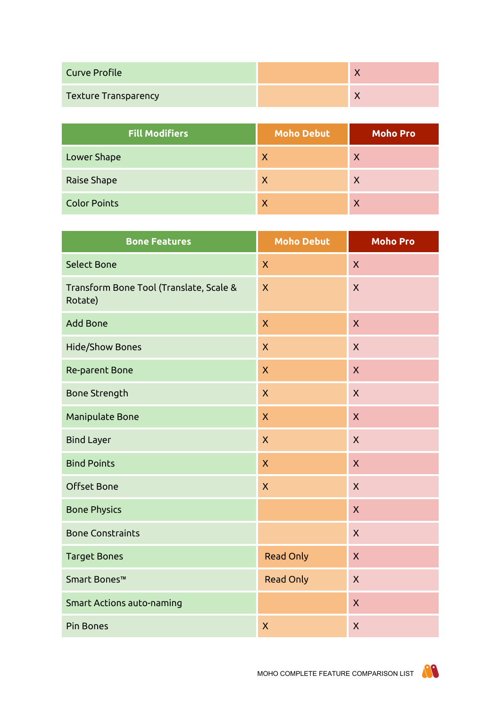| Curve Profile               |  |
|-----------------------------|--|
| <b>Texture Transparency</b> |  |

| <b>Fill Modifiers</b> | <b>Moho Debut</b>         | <b>Moho Pro</b>           |
|-----------------------|---------------------------|---------------------------|
| Lower Shape           | $\boldsymbol{\mathsf{X}}$ | X                         |
| Raise Shape           | $\mathsf{X}$              | $\boldsymbol{\mathsf{X}}$ |
| <b>Color Points</b>   | $\boldsymbol{\mathsf{X}}$ | X                         |

| <b>Bone Features</b>                               | <b>Moho Debut</b>       | <b>Moho Pro</b>         |
|----------------------------------------------------|-------------------------|-------------------------|
| <b>Select Bone</b>                                 | $\overline{\mathsf{X}}$ | $\mathsf{X}$            |
| Transform Bone Tool (Translate, Scale &<br>Rotate) | $\overline{\mathsf{X}}$ | $\mathsf{X}$            |
| <b>Add Bone</b>                                    | X                       | $\overline{\mathsf{X}}$ |
| <b>Hide/Show Bones</b>                             | X                       | $\mathsf{X}$            |
| Re-parent Bone                                     | $\overline{\mathsf{X}}$ | $\mathsf{X}$            |
| <b>Bone Strength</b>                               | $\overline{X}$          | $\mathsf{X}$            |
| Manipulate Bone                                    | $\mathsf{X}$            | $\mathsf{X}$            |
| <b>Bind Layer</b>                                  | $\overline{X}$          | $\mathsf{X}$            |
| <b>Bind Points</b>                                 | $\overline{\mathsf{X}}$ | $\overline{\mathsf{X}}$ |
| <b>Offset Bone</b>                                 | $\mathsf{X}$            | $\mathsf{X}$            |
| <b>Bone Physics</b>                                |                         | $\mathsf{X}$            |
| <b>Bone Constraints</b>                            |                         | $\mathsf{X}$            |
| <b>Target Bones</b>                                | <b>Read Only</b>        | $\mathsf{X}$            |
| Smart Bones™                                       | <b>Read Only</b>        | $\mathsf{X}$            |
| <b>Smart Actions auto-naming</b>                   |                         | $\mathsf{X}$            |
| <b>Pin Bones</b>                                   | $\overline{\mathsf{X}}$ | $\sf X$                 |

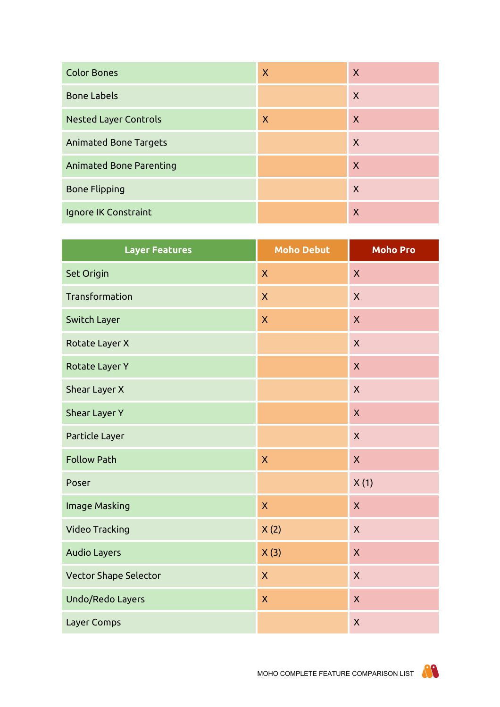| <b>Color Bones</b>             | $\mathsf{X}$     | $\mathsf{X}$              |
|--------------------------------|------------------|---------------------------|
| <b>Bone Labels</b>             |                  | $\mathsf{X}$              |
| <b>Nested Layer Controls</b>   | $\boldsymbol{X}$ | $\mathsf{X}$              |
| <b>Animated Bone Targets</b>   |                  | $\mathsf{X}$              |
| <b>Animated Bone Parenting</b> |                  | $\boldsymbol{X}$          |
| <b>Bone Flipping</b>           |                  | $\boldsymbol{X}$          |
| Ignore IK Constraint           |                  | $\boldsymbol{\mathsf{X}}$ |

| <b>Layer Features</b>        | <b>Moho Debut</b>       | <b>Moho Pro</b>           |
|------------------------------|-------------------------|---------------------------|
| Set Origin                   | $\mathsf{X}$            | $\mathsf{X}$              |
| Transformation               | $\mathsf{X}$            | $\mathsf{X}$              |
| Switch Layer                 | $\mathsf{X}$            | $\mathsf{X}$              |
| Rotate Layer X               |                         | $\mathsf{X}$              |
| <b>Rotate Layer Y</b>        |                         | $\mathsf{X}$              |
| Shear Layer X                |                         | $\mathsf{X}$              |
| <b>Shear Layer Y</b>         |                         | $\boldsymbol{\mathsf{X}}$ |
| Particle Layer               |                         | $\mathsf{X}$              |
| <b>Follow Path</b>           | $\overline{\mathsf{X}}$ | $\mathsf{X}$              |
| Poser                        |                         | X(1)                      |
| Image Masking                | $\mathsf{X}$            | $\mathsf{X}$              |
| <b>Video Tracking</b>        | X(2)                    | $\mathsf{X}$              |
| <b>Audio Layers</b>          | X(3)                    | $\mathsf{X}$              |
| <b>Vector Shape Selector</b> | $\overline{\mathsf{X}}$ | $\mathsf{X}$              |
| Undo/Redo Layers             | $\mathsf{X}$            | $\mathsf{X}$              |
| <b>Layer Comps</b>           |                         | $\mathsf{X}$              |

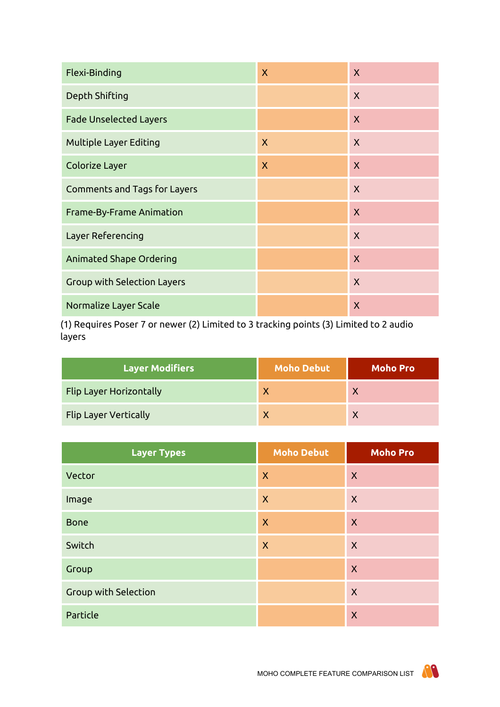| Flexi-Binding                      | $\sf X$      | $\mathsf{X}$              |
|------------------------------------|--------------|---------------------------|
| Depth Shifting                     |              | $\mathsf{X}$              |
| <b>Fade Unselected Layers</b>      |              | X                         |
| <b>Multiple Layer Editing</b>      | $\mathsf{X}$ | $\mathsf{X}$              |
| Colorize Layer                     | $\mathsf{X}$ | $\mathsf{X}$              |
| Comments and Tags for Layers       |              | $\mathsf{X}$              |
| Frame-By-Frame Animation           |              | $\boldsymbol{\mathsf{X}}$ |
| Layer Referencing                  |              | $\mathsf{X}$              |
| <b>Animated Shape Ordering</b>     |              | $\mathsf{X}$              |
| <b>Group with Selection Layers</b> |              | $\mathsf{X}$              |
| Normalize Layer Scale              |              | $\mathsf{X}$              |

(1) Requires Poser 7 or newer (2) Limited to 3 tracking points (3) Limited to 2 audio layers

| <b>Layer Modifiers</b>         | <b>Moho Debut</b> | <b>Moho Pro</b> |
|--------------------------------|-------------------|-----------------|
| <b>Flip Layer Horizontally</b> | Χ                 | X               |
| <b>Flip Layer Vertically</b>   | Х                 |                 |

| <b>Layer Types</b>          | <b>Moho Debut</b>         | <b>Moho Pro</b>  |
|-----------------------------|---------------------------|------------------|
| Vector                      | $\boldsymbol{\mathsf{X}}$ | X                |
| Image                       | $\boldsymbol{\mathsf{X}}$ | X                |
| <b>Bone</b>                 | $\boldsymbol{X}$          | $\boldsymbol{X}$ |
| Switch                      | $\boldsymbol{X}$          | $\boldsymbol{X}$ |
| Group                       |                           | $\boldsymbol{X}$ |
| <b>Group with Selection</b> |                           | $\mathsf{X}$     |
| Particle                    |                           | $\mathsf{X}$     |

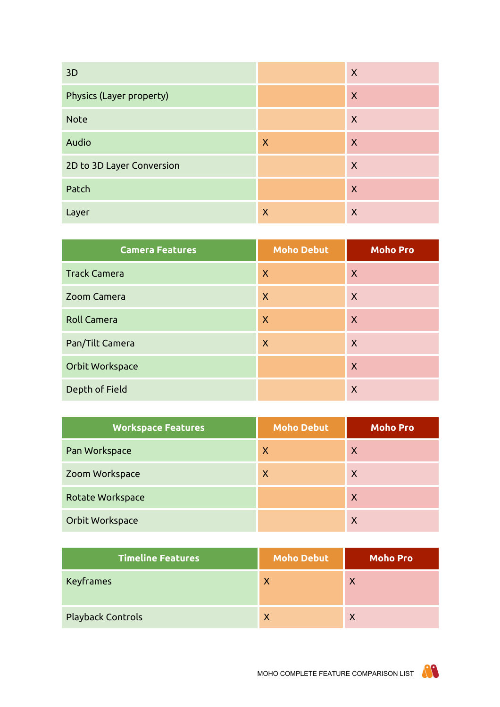| 3D                        |                           | X                |
|---------------------------|---------------------------|------------------|
| Physics (Layer property)  |                           | X                |
| <b>Note</b>               |                           | $\boldsymbol{X}$ |
| Audio                     | $\mathsf{X}$              | X                |
| 2D to 3D Layer Conversion |                           | $\boldsymbol{X}$ |
| Patch                     |                           | X                |
| Layer                     | $\boldsymbol{\mathsf{X}}$ | X                |

| <b>Camera Features</b> | <b>Moho Debut</b> | <b>Moho Pro</b> |
|------------------------|-------------------|-----------------|
| <b>Track Camera</b>    | $\mathsf{X}$      | X               |
| <b>Zoom Camera</b>     | $\boldsymbol{X}$  | X               |
| <b>Roll Camera</b>     | $\mathsf{X}$      | X               |
| Pan/Tilt Camera        | $\boldsymbol{X}$  | X               |
| Orbit Workspace        |                   | X               |
| Depth of Field         |                   | X               |

| <b>Workspace Features</b> | <b>Moho Debut</b>         | <b>Moho Pro</b> |
|---------------------------|---------------------------|-----------------|
| Pan Workspace             | $\mathsf{X}$              | X               |
| Zoom Workspace            | $\boldsymbol{\mathsf{X}}$ | X               |
| Rotate Workspace          |                           | X               |
| Orbit Workspace           |                           | X               |

| <b>Timeline Features</b> | <b>Moho Debut</b>         | <b>Moho Pro</b> |
|--------------------------|---------------------------|-----------------|
| <b>Keyframes</b>         | $\mathsf{X}$              | $\times$        |
| <b>Playback Controls</b> | $\boldsymbol{\mathsf{X}}$ | X               |

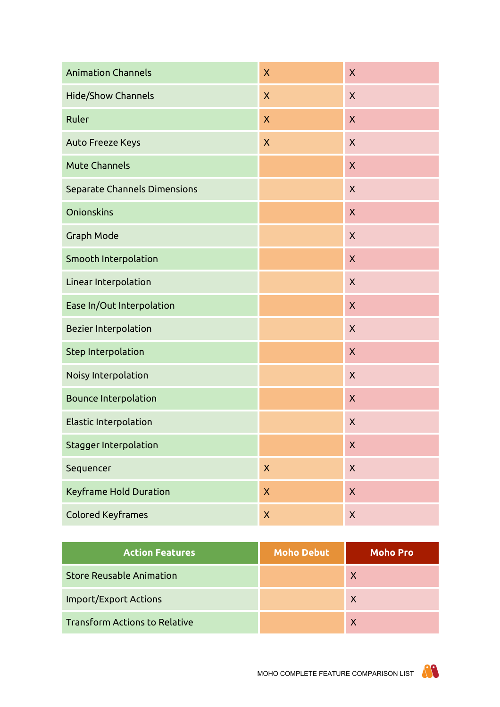| <b>Animation Channels</b>     | $\overline{\mathsf{X}}$ | $\overline{\mathsf{X}}$   |
|-------------------------------|-------------------------|---------------------------|
| Hide/Show Channels            | $\mathsf{X}$            | $\mathsf{X}$              |
| Ruler                         | $\mathsf{X}$            | $\mathsf{X}$              |
| <b>Auto Freeze Keys</b>       | $\mathsf{X}$            | $\mathsf{X}$              |
| <b>Mute Channels</b>          |                         | $\mathsf{X}$              |
| Separate Channels Dimensions  |                         | $\mathsf{X}$              |
| Onionskins                    |                         | $\mathsf{X}$              |
| Graph Mode                    |                         | $\mathsf{X}$              |
| Smooth Interpolation          |                         | $\mathsf{X}$              |
| Linear Interpolation          |                         | $\mathsf{X}$              |
| Ease In/Out Interpolation     |                         | $\mathsf{X}$              |
| <b>Bezier Interpolation</b>   |                         | $\mathsf{X}$              |
| Step Interpolation            |                         | $\mathsf{X}$              |
| Noisy Interpolation           |                         | $\mathsf{X}$              |
| <b>Bounce Interpolation</b>   |                         | $\boldsymbol{\mathsf{X}}$ |
| Elastic Interpolation         |                         | $\mathsf{X}$              |
| <b>Stagger Interpolation</b>  |                         | $\pmb{\mathsf{X}}$        |
| Sequencer                     | $\mathsf{X}$            | $\mathsf{X}$              |
| <b>Keyframe Hold Duration</b> | $\mathsf{X}$            | $\mathsf{X}$              |
| <b>Colored Keyframes</b>      | $\mathsf{X}$            | $\mathsf{X}$              |

| <b>Action Features</b>               | <b>Moho Debut</b> | <b>Moho Pro</b> |
|--------------------------------------|-------------------|-----------------|
| <b>Store Reusable Animation</b>      |                   | X               |
| <b>Import/Export Actions</b>         |                   | $\mathsf{X}$    |
| <b>Transform Actions to Relative</b> |                   | X               |

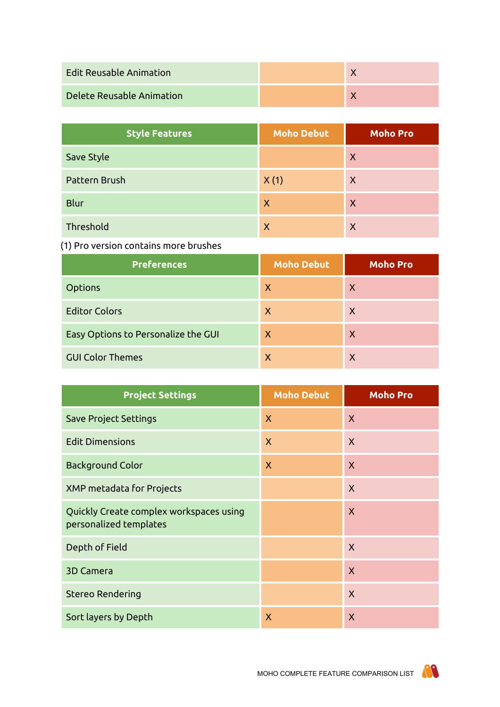| <b>Edit Reusable Animation</b> |  |
|--------------------------------|--|
| Delete Reusable Animation      |  |

| <b>Style Features</b> | <b>Moho Debut</b> | <b>Moho Pro</b> |
|-----------------------|-------------------|-----------------|
| Save Style            |                   | X               |
| Pattern Brush         | X(1)              | X               |
| Blur                  | $\mathsf{X}$      | X               |
| Threshold             | $\mathsf{X}$      | X               |

# (1) Pro version contains more brushes

| <b>Preferences</b>                  | <b>Moho Debut</b> | <b>Moho Pro</b> |
|-------------------------------------|-------------------|-----------------|
| <b>Options</b>                      | $\mathsf{X}$      | X               |
| <b>Editor Colors</b>                | X                 | $\mathsf{X}$    |
| Easy Options to Personalize the GUI | $\mathsf{X}$      | X               |
| <b>GUI Color Themes</b>             | X                 | X               |

| <b>Project Settings</b>                                           | <b>Moho Debut</b> | <b>Moho Pro</b> |
|-------------------------------------------------------------------|-------------------|-----------------|
| <b>Save Project Settings</b>                                      | $\mathsf{X}$      | $\mathsf{X}$    |
| <b>Edit Dimensions</b>                                            | $\mathsf{X}$      | $\mathsf{X}$    |
| <b>Background Color</b>                                           | $\mathsf{X}$      | $\mathsf{X}$    |
| XMP metadata for Projects                                         |                   | $\mathsf{X}$    |
| Quickly Create complex workspaces using<br>personalized templates |                   | $\mathsf{X}$    |
| Depth of Field                                                    |                   | $\mathsf{X}$    |
| <b>3D Camera</b>                                                  |                   | $\mathsf{X}$    |
| <b>Stereo Rendering</b>                                           |                   | $\mathsf{X}$    |
| Sort layers by Depth                                              | X                 | $\mathsf{X}$    |

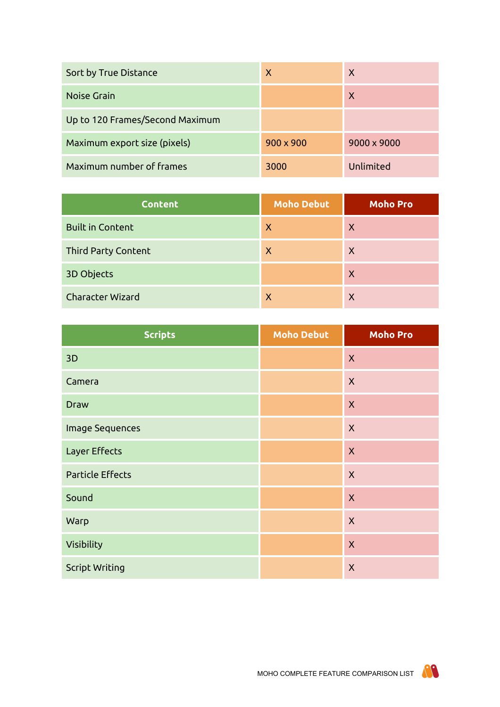| Sort by True Distance           | $\mathsf{X}$     | X                  |
|---------------------------------|------------------|--------------------|
| Noise Grain                     |                  | X                  |
| Up to 120 Frames/Second Maximum |                  |                    |
| Maximum export size (pixels)    | $900 \times 900$ | $9000 \times 9000$ |
| Maximum number of frames        | 3000             | Unlimited          |

| <b>Content</b>             | <b>Moho Debut</b>         | Moho Pro |
|----------------------------|---------------------------|----------|
| <b>Built in Content</b>    | $\boldsymbol{\mathsf{X}}$ | X        |
| <b>Third Party Content</b> | X                         | X        |
| 3D Objects                 |                           | X        |
| <b>Character Wizard</b>    | X                         | X        |

| <b>Scripts</b>          | <b>Moho Debut</b> | <b>Moho Pro</b>           |
|-------------------------|-------------------|---------------------------|
| 3D                      |                   | $\mathsf{X}$              |
| Camera                  |                   | $\boldsymbol{X}$          |
| <b>Draw</b>             |                   | $\mathsf{X}$              |
| Image Sequences         |                   | $\boldsymbol{X}$          |
| Layer Effects           |                   | $\boldsymbol{\mathsf{X}}$ |
| <b>Particle Effects</b> |                   | $\boldsymbol{X}$          |
| Sound                   |                   | $\mathsf{X}$              |
| Warp                    |                   | $\boldsymbol{X}$          |
| Visibility              |                   | $\boldsymbol{\mathsf{X}}$ |
| <b>Script Writing</b>   |                   | $\boldsymbol{X}$          |

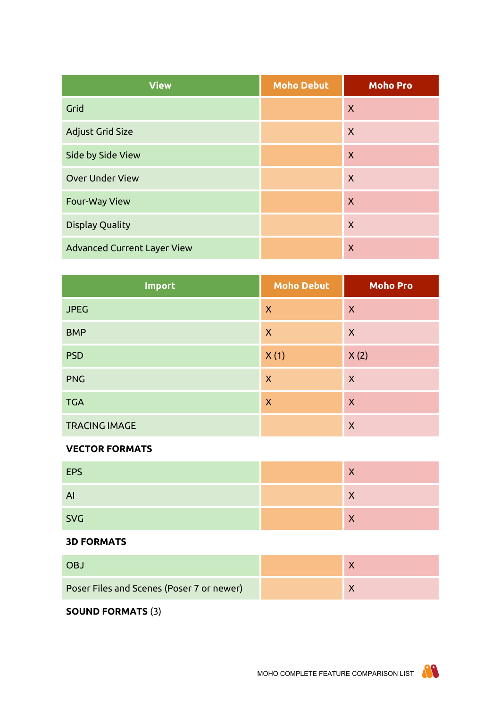| <b>View</b>                        | <b>Moho Debut</b> | <b>Moho Pro</b>  |
|------------------------------------|-------------------|------------------|
| Grid                               |                   | $\mathsf{X}$     |
| Adjust Grid Size                   |                   | $\sf X$          |
| Side by Side View                  |                   | $\boldsymbol{X}$ |
| <b>Over Under View</b>             |                   | $\mathsf{X}$     |
| <b>Four-Way View</b>               |                   | $\mathsf{X}$     |
| <b>Display Quality</b>             |                   | $\mathsf{X}$     |
| <b>Advanced Current Layer View</b> |                   | $\mathsf{X}$     |

| <b>Import</b>        | <b>Moho Debut</b> | <b>Moho Pro</b> |
|----------------------|-------------------|-----------------|
| <b>JPEG</b>          | $\boldsymbol{X}$  | $\mathsf{X}$    |
| <b>BMP</b>           | $\boldsymbol{X}$  | $\mathsf{X}$    |
| <b>PSD</b>           | X(1)              | X(2)            |
| <b>PNG</b>           | X                 | $\mathsf{X}$    |
| <b>TGA</b>           | X                 | $\mathsf{X}$    |
| <b>TRACING IMAGE</b> |                   | $\mathsf{X}$    |

### **VECTOR FORMATS**

| <b>EPS</b> | X |
|------------|---|
| AI         | X |
| <b>SVG</b> | X |

## **3D FORMATS**

| <b>OBJ</b>                                |  |
|-------------------------------------------|--|
| Poser Files and Scenes (Poser 7 or newer) |  |

**SOUND FORMATS** (3)

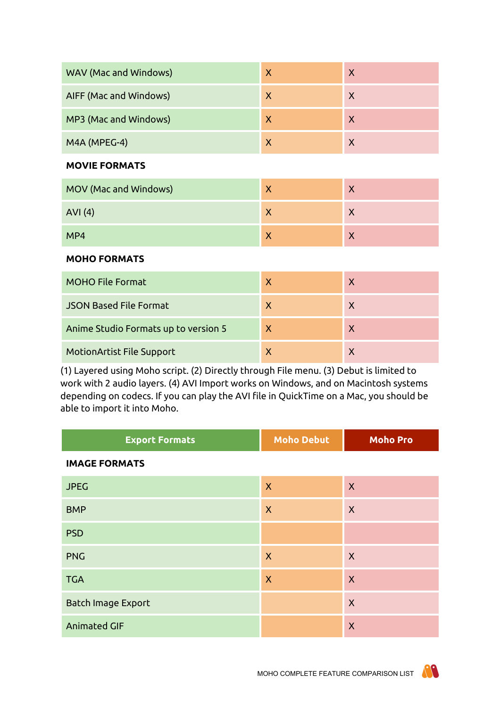| WAV (Mac and Windows)  | X | X |
|------------------------|---|---|
| AIFF (Mac and Windows) |   | X |
| MP3 (Mac and Windows)  |   | X |
| M4A (MPEG-4)           |   | X |

#### **MOVIE FORMATS**

| MOV (Mac and Windows) |  |
|-----------------------|--|
| AVI(4)                |  |
| MP4                   |  |

#### **MOHO FORMATS**

| <b>MOHO File Format</b>              |    |              |
|--------------------------------------|----|--------------|
| <b>JSON Based File Format</b>        |    |              |
| Anime Studio Formats up to version 5 | X. | $\mathsf{X}$ |
| <b>MotionArtist File Support</b>     |    |              |

(1) Layered using Moho script. (2) Directly through File menu. (3) Debut is limited to work with 2 audio layers. (4) AVI Import works on Windows, and on Macintosh systems depending on codecs. If you can play the AVI file in QuickTime on a Mac, you should be able to import it into Moho.

| <b>Export Formats</b>     | <b>Moho Debut</b>         | <b>Moho Pro</b> |  |  |  |  |  |
|---------------------------|---------------------------|-----------------|--|--|--|--|--|
| <b>IMAGE FORMATS</b>      |                           |                 |  |  |  |  |  |
| <b>JPEG</b>               | $\mathsf{X}$              | $\mathsf{X}$    |  |  |  |  |  |
| <b>BMP</b>                | $\mathsf{X}$              | $\mathsf{X}$    |  |  |  |  |  |
| <b>PSD</b>                |                           |                 |  |  |  |  |  |
| <b>PNG</b>                | $\mathsf{X}$              | $\mathsf{X}$    |  |  |  |  |  |
| <b>TGA</b>                | $\boldsymbol{\mathsf{X}}$ | $\mathsf{X}$    |  |  |  |  |  |
| <b>Batch Image Export</b> |                           | $\mathsf{X}$    |  |  |  |  |  |
| <b>Animated GIF</b>       |                           | $\mathsf{X}$    |  |  |  |  |  |

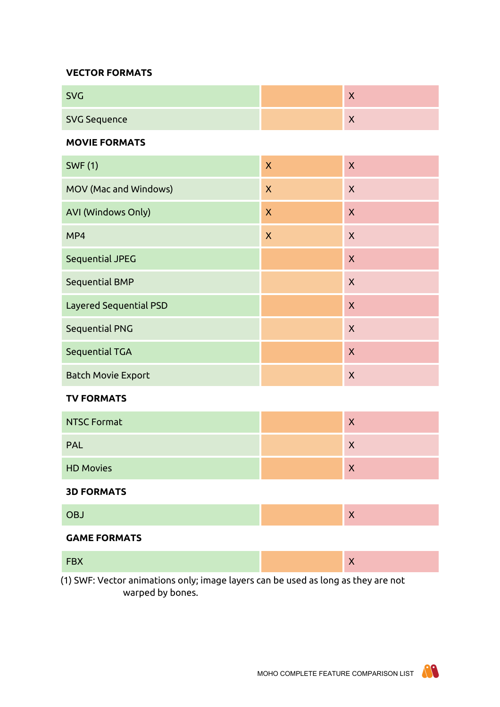## **VECTOR FORMATS**

| C                   |  |
|---------------------|--|
| <b>SVG Sequence</b> |  |

#### **MOVIE FORMATS**

| <b>SWF (1)</b>                | $\mathsf{X}$ | $\mathsf{X}$ |
|-------------------------------|--------------|--------------|
| MOV (Mac and Windows)         | X            | X            |
| <b>AVI (Windows Only)</b>     | $\mathsf{X}$ | $\mathsf{X}$ |
| MP4                           | $\mathsf{X}$ | $\mathsf{X}$ |
| Sequential JPEG               |              | $\mathsf{X}$ |
| Sequential BMP                |              | X            |
| <b>Layered Sequential PSD</b> |              | $\mathsf{X}$ |
| Sequential PNG                |              | $\mathsf{X}$ |
| Sequential TGA                |              | $\mathsf{X}$ |
| <b>Batch Movie Export</b>     |              | X            |
| <b>TV FORMATS</b>             |              |              |

| NTSC Format      | Χ |
|------------------|---|
| <b>PAL</b>       |   |
| <b>HD Movies</b> | Χ |

#### **3D FORMATS**

### **GAME FORMATS**

| .            |     |  |  |  |  |  |
|--------------|-----|--|--|--|--|--|
| $\mathbf{1}$ | . . |  |  |  |  |  |

(1) SWF: Vector animations only; image layers can be used as long as they are not warped by bones.

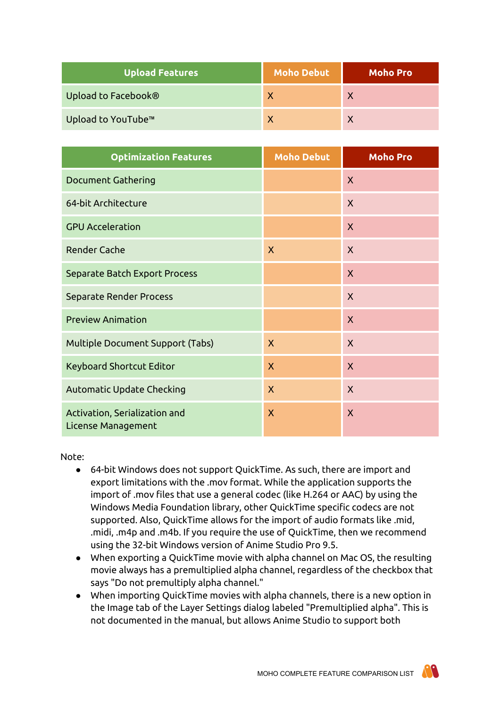| <b>Upload Features</b>          | Moho Debut | <b>Moho Pro</b> |
|---------------------------------|------------|-----------------|
| Upload to Facebook <sup>®</sup> |            |                 |
| Upload to YouTube™              |            |                 |

| <b>Optimization Features</b>                        | <b>Moho Debut</b>       | <b>Moho Pro</b> |
|-----------------------------------------------------|-------------------------|-----------------|
| <b>Document Gathering</b>                           |                         | $\mathsf{X}$    |
| 64-bit Architecture                                 |                         | $\mathsf{X}$    |
| <b>GPU Acceleration</b>                             |                         | X               |
| <b>Render Cache</b>                                 | $\mathsf{X}$            | X               |
| <b>Separate Batch Export Process</b>                |                         | $\mathsf{X}$    |
| <b>Separate Render Process</b>                      |                         | $\mathsf{X}$    |
| <b>Preview Animation</b>                            |                         | $\mathsf{X}$    |
| Multiple Document Support (Tabs)                    | $\mathsf{X}$            | $\mathsf{X}$    |
| <b>Keyboard Shortcut Editor</b>                     | $\overline{\mathsf{X}}$ | $\mathsf{X}$    |
| Automatic Update Checking                           | $\overline{\mathsf{X}}$ | $\mathsf{X}$    |
| Activation, Serialization and<br>License Management | $\overline{\mathsf{X}}$ | $\mathsf{X}$    |

Note:

- 64-bit Windows does not support QuickTime. As such, there are import and export limitations with the .mov format. While the application supports the import of .mov files that use a general codec (like H.264 or AAC) by using the Windows Media Foundation library, other QuickTime specific codecs are not supported. Also, QuickTime allows for the import of audio formats like .mid, .midi, .m4p and .m4b. If you require the use of QuickTime, then we recommend using the 32-bit Windows version of Anime Studio Pro 9.5.
- When exporting a QuickTime movie with alpha channel on Mac OS, the resulting movie always has a premultiplied alpha channel, regardless of the checkbox that says "Do not premultiply alpha channel."
- When importing QuickTime movies with alpha channels, there is a new option in the Image tab of the Layer Settings dialog labeled "Premultiplied alpha". This is not documented in the manual, but allows Anime Studio to support both